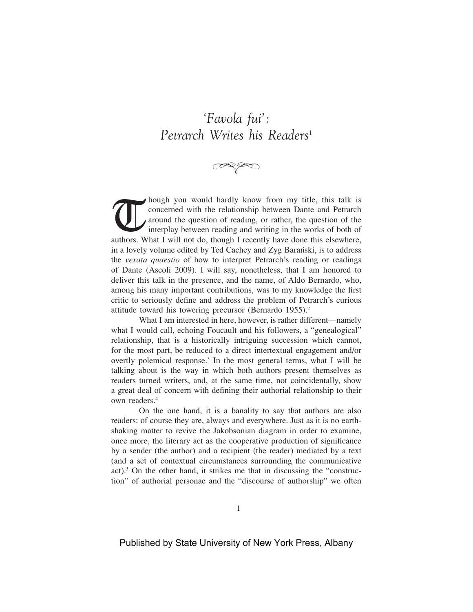# *'Favola fui': Petrarch Writes his Readers*<sup>1</sup>

-

hough you would hardly know from my title, this talk is concerned with the relationship between Dante and Petrarch around the question of reading, or rather, the question of the interplay between reading and writing in the works of both of authors. What I will not do, though I recently have done this elsewhere, in a lovely volume edited by Ted Cachey and Zyg Baran´ski, is to address the *vexata quaestio* of how to interpret Petrarch's reading or readings of Dante (Ascoli 2009). I will say, nonetheless, that I am honored to deliver this talk in the presence, and the name, of Aldo Bernardo, who, among his many important contributions, was to my knowledge the first critic to seriously define and address the problem of Petrarch's curious attitude toward his towering precursor (Bernardo 1955).<sup>2</sup>  $\overline{\mathbb{C}}$ 

What I am interested in here, however, is rather different—namely what I would call, echoing Foucault and his followers, a "genealogical" relationship, that is a historically intriguing succession which cannot, for the most part, be reduced to a direct intertextual engagement and/or overtly polemical response.<sup>3</sup> In the most general terms, what I will be talking about is the way in which both authors present themselves as readers turned writers, and, at the same time, not coincidentally, show a great deal of concern with defining their authorial relationship to their own readers.<sup>4</sup>

On the one hand, it is a banality to say that authors are also readers: of course they are, always and everywhere. Just as it is no earthshaking matter to revive the Jakobsonian diagram in order to examine, once more, the literary act as the cooperative production of significance by a sender (the author) and a recipient (the reader) mediated by a text (and a set of contextual circumstances surrounding the communicative act).<sup>5</sup> On the other hand, it strikes me that in discussing the "construction" of authorial personae and the "discourse of authorship" we often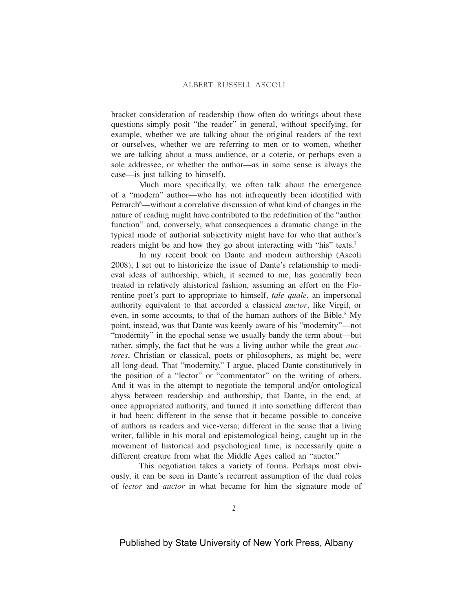bracket consideration of readership (how often do writings about these questions simply posit "the reader" in general, without specifying, for example, whether we are talking about the original readers of the text or ourselves, whether we are referring to men or to women, whether we are talking about a mass audience, or a coterie, or perhaps even a sole addressee, or whether the author—as in some sense is always the case—is just talking to himself).

Much more specifically, we often talk about the emergence of a "modern" author—who has not infrequently been identified with Petrarch<sup>6</sup>—without a correlative discussion of what kind of changes in the nature of reading might have contributed to the redefinition of the "author function" and, conversely, what consequences a dramatic change in the typical mode of authorial subjectivity might have for who that author's readers might be and how they go about interacting with "his" texts.<sup>7</sup>

In my recent book on Dante and modern authorship (Ascoli 2008), I set out to historicize the issue of Dante's relationship to medieval ideas of authorship, which, it seemed to me, has generally been treated in relatively ahistorical fashion, assuming an effort on the Florentine poet's part to appropriate to himself, *tale quale*, an impersonal authority equivalent to that accorded a classical *auctor*, like Virgil, or even, in some accounts, to that of the human authors of the Bible.<sup>8</sup> My point, instead, was that Dante was keenly aware of his "modernity"—not "modernity" in the epochal sense we usually bandy the term about—but rather, simply, the fact that he was a living author while the great *auctores*, Christian or classical, poets or philosophers, as might be, were all long-dead. That "modernity," I argue, placed Dante constitutively in the position of a "lector" or "commentator" on the writing of others. And it was in the attempt to negotiate the temporal and/or ontological abyss between readership and authorship, that Dante, in the end, at once appropriated authority, and turned it into something different than it had been: different in the sense that it became possible to conceive of authors as readers and vice-versa; different in the sense that a living writer, fallible in his moral and epistemological being, caught up in the movement of historical and psychological time, is necessarily quite a different creature from what the Middle Ages called an "auctor."

This negotiation takes a variety of forms. Perhaps most obviously, it can be seen in Dante's recurrent assumption of the dual roles of *lector* and *auctor* in what became for him the signature mode of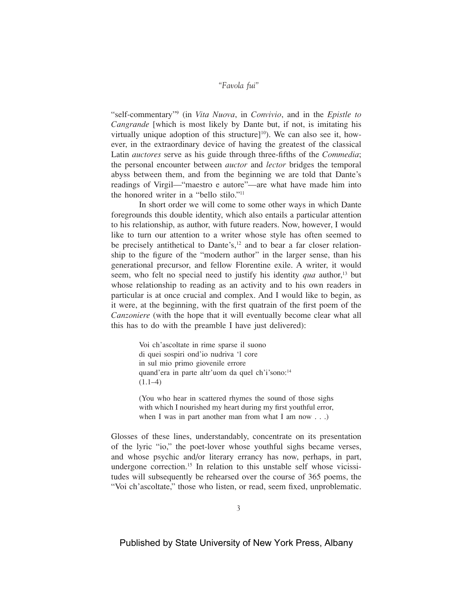"self-commentary"<sup>9</sup> (in *Vita Nuova*, in *Convivio*, and in the *Epistle to Cangrande* [which is most likely by Dante but, if not, is imitating his virtually unique adoption of this structure] $10$ . We can also see it, however, in the extraordinary device of having the greatest of the classical Latin *auctores* serve as his guide through three-fifths of the *Commedia*; the personal encounter between *auctor* and *lector* bridges the temporal abyss between them, and from the beginning we are told that Dante's readings of Virgil—"maestro e autore"—are what have made him into the honored writer in a "bello stilo."<sup>11</sup>

In short order we will come to some other ways in which Dante foregrounds this double identity, which also entails a particular attention to his relationship, as author, with future readers. Now, however, I would like to turn our attention to a writer whose style has often seemed to be precisely antithetical to Dante's, $12$  and to bear a far closer relationship to the figure of the "modern author" in the larger sense, than his generational precursor, and fellow Florentine exile. A writer, it would seem, who felt no special need to justify his identity *qua* author,<sup>13</sup> but whose relationship to reading as an activity and to his own readers in particular is at once crucial and complex. And I would like to begin, as it were, at the beginning, with the first quatrain of the first poem of the *Canzoniere* (with the hope that it will eventually become clear what all this has to do with the preamble I have just delivered):

> Voi ch'ascoltate in rime sparse il suono di quei sospiri ond'io nudriva 'l core in sul mio primo giovenile errore quand'era in parte altr'uom da quel ch'i'sono:14  $(1.1-4)$

(You who hear in scattered rhymes the sound of those sighs with which I nourished my heart during my first youthful error, when I was in part another man from what I am now . . .)

Glosses of these lines, understandably, concentrate on its presentation of the lyric "io," the poet-lover whose youthful sighs became verses, and whose psychic and/or literary errancy has now, perhaps, in part, undergone correction.<sup>15</sup> In relation to this unstable self whose vicissitudes will subsequently be rehearsed over the course of 365 poems, the "Voi ch'ascoltate," those who listen, or read, seem fixed, unproblematic.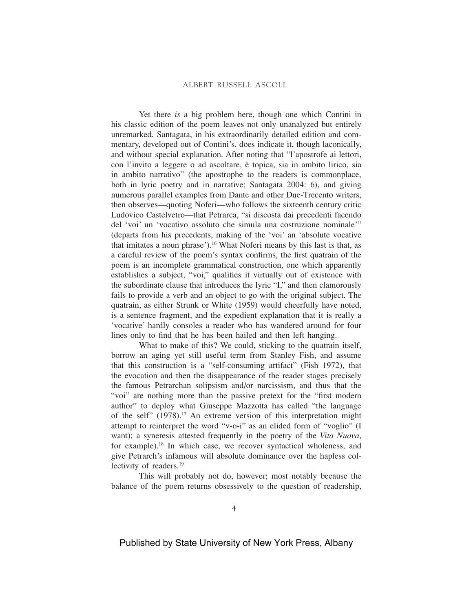Yet there *is* a big problem here, though one which Contini in his classic edition of the poem leaves not only unanalyzed but entirely unremarked. Santagata, in his extraordinarily detailed edition and commentary, developed out of Contini's, does indicate it, though laconically, and without special explanation. After noting that "l'apostrofe ai lettori, con l'invito a leggere o ad ascoltare, è topica, sia in ambito lirico, sia in ambito narrativo" (the apostrophe to the readers is commonplace, both in lyric poetry and in narrative; Santagata 2004: 6), and giving numerous parallel examples from Dante and other Due-Trecento writers, then observes—quoting Noferi—who follows the sixteenth century critic Ludovico Castelvetro—that Petrarca, "si discosta dai precedenti facendo del 'voi' un 'vocativo assoluto che simula una costruzione nominale'" (departs from his precedents, making of the 'voi' an 'absolute vocative that imitates a noun phrase').<sup>16</sup> What Noferi means by this last is that, as a careful review of the poem's syntax confirms, the first quatrain of the poem is an incomplete grammatical construction, one which apparently establishes a subject, "voi," qualifies it virtually out of existence with the subordinate clause that introduces the lyric "I," and then clamorously fails to provide a verb and an object to go with the original subject. The quatrain, as either Strunk or White (1959) would cheerfully have noted, is a sentence fragment, and the expedient explanation that it is really a 'vocative' hardly consoles a reader who has wandered around for four lines only to find that he has been hailed and then left hanging.

What to make of this? We could, sticking to the quatrain itself, borrow an aging yet still useful term from Stanley Fish, and assume that this construction is a "self-consuming artifact" (Fish 1972), that the evocation and then the disappearance of the reader stages precisely the famous Petrarchan solipsism and/or narcissism, and thus that the "voi" are nothing more than the passive pretext for the "first modern author" to deploy what Giuseppe Mazzotta has called "the language of the self" (1978).17 An extreme version of this interpretation might attempt to reinterpret the word "v-o-i" as an elided form of "voglio" (I want); a syneresis attested frequently in the poetry of the *Vita Nuova*, for example).<sup>18</sup> In which case, we recover syntactical wholeness, and give Petrarch's infamous will absolute dominance over the hapless collectivity of readers.<sup>19</sup>

This will probably not do, however; most notably because the balance of the poem returns obsessively to the question of readership,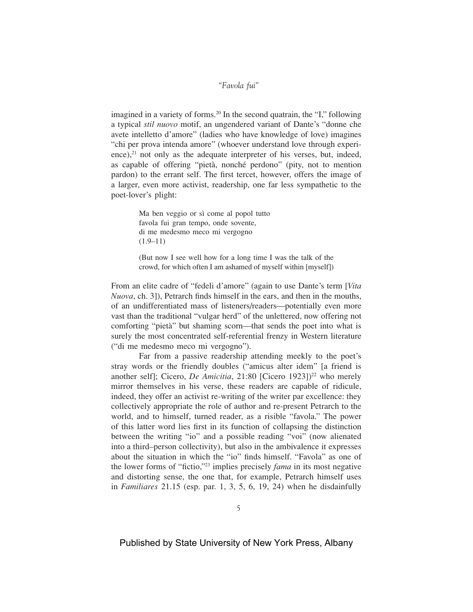imagined in a variety of forms.<sup>20</sup> In the second quatrain, the "I," following a typical *stil nuovo* motif, an ungendered variant of Dante's "donne che avete intelletto d'amore" (ladies who have knowledge of love) imagines "chi per prova intenda amore" (whoever understand love through experience), $^{21}$  not only as the adequate interpreter of his verses, but, indeed, as capable of offering "pietà, nonché perdono" (pity, not to mention pardon) to the errant self. The first tercet, however, offers the image of a larger, even more activist, readership, one far less sympathetic to the poet-lover's plight:

> Ma ben veggio or sì come al popol tutto favola fui gran tempo, onde sovente, di me medesmo meco mi vergogno (1.9–11)

(But now I see well how for a long time I was the talk of the crowd, for which often I am ashamed of myself within [myself])

From an elite cadre of "fedeli d'amore" (again to use Dante's term [*Vita Nuova*, ch. 3]), Petrarch finds himself in the ears, and then in the mouths, of an undifferentiated mass of listeners/readers—potentially even more vast than the traditional "vulgar herd" of the unlettered, now offering not comforting "pietà" but shaming scorn—that sends the poet into what is surely the most concentrated self-referential frenzy in Western literature ("di me medesmo meco mi vergogno").

Far from a passive readership attending meekly to the poet's stray words or the friendly doubles ("amicus alter idem" [a friend is another self]; Cicero, *De Amicitia*, 21:80 [Cicero 1923])<sup>22</sup> who merely mirror themselves in his verse, these readers are capable of ridicule, indeed, they offer an activist re-writing of the writer par excellence: they collectively appropriate the role of author and re-present Petrarch to the world, and to himself, turned reader, as a risible "favola." The power of this latter word lies first in its function of collapsing the distinction between the writing "io" and a possible reading "voi" (now alienated into a third–person collectivity), but also in the ambivalence it expresses about the situation in which the "io" finds himself. "Favola" as one of the lower forms of "fictio,"<sup>23</sup> implies precisely *fama* in its most negative and distorting sense, the one that, for example, Petrarch himself uses in *Familiares* 21.15 (esp. par. 1, 3, 5, 6, 19, 24) when he disdainfully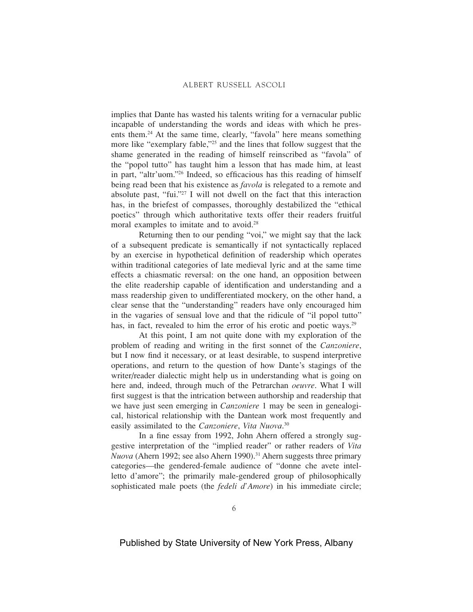implies that Dante has wasted his talents writing for a vernacular public incapable of understanding the words and ideas with which he presents them.<sup>24</sup> At the same time, clearly, "favola" here means something more like "exemplary fable,"<sup>25</sup> and the lines that follow suggest that the shame generated in the reading of himself reinscribed as "favola" of the "popol tutto" has taught him a lesson that has made him, at least in part, "altr'uom."<sup>26</sup> Indeed, so efficacious has this reading of himself being read been that his existence as *favola* is relegated to a remote and absolute past, "fui."<sup>27</sup> I will not dwell on the fact that this interaction has, in the briefest of compasses, thoroughly destabilized the "ethical poetics" through which authoritative texts offer their readers fruitful moral examples to imitate and to avoid.<sup>28</sup>

Returning then to our pending "voi," we might say that the lack of a subsequent predicate is semantically if not syntactically replaced by an exercise in hypothetical definition of readership which operates within traditional categories of late medieval lyric and at the same time effects a chiasmatic reversal: on the one hand, an opposition between the elite readership capable of identification and understanding and a mass readership given to undifferentiated mockery, on the other hand, a clear sense that the "understanding" readers have only encouraged him in the vagaries of sensual love and that the ridicule of "il popol tutto" has, in fact, revealed to him the error of his erotic and poetic ways.<sup>29</sup>

At this point, I am not quite done with my exploration of the problem of reading and writing in the first sonnet of the *Canzoniere*, but I now find it necessary, or at least desirable, to suspend interpretive operations, and return to the question of how Dante's stagings of the writer/reader dialectic might help us in understanding what is going on here and, indeed, through much of the Petrarchan *oeuvre*. What I will first suggest is that the intrication between authorship and readership that we have just seen emerging in *Canzoniere* 1 may be seen in genealogical, historical relationship with the Dantean work most frequently and easily assimilated to the *Canzoniere*, *Vita Nuova*. 30

In a fine essay from 1992, John Ahern offered a strongly suggestive interpretation of the "implied reader" or rather readers of *Vita Nuova* (Ahern 1992; see also Ahern 1990).<sup>31</sup> Ahern suggests three primary categories—the gendered-female audience of "donne che avete intelletto d'amore"; the primarily male-gendered group of philosophically sophisticated male poets (the *fedeli d'Amore*) in his immediate circle;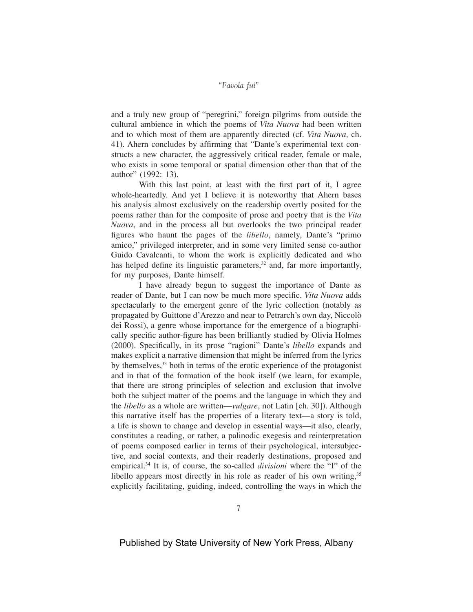and a truly new group of "peregrini," foreign pilgrims from outside the cultural ambience in which the poems of *Vita Nuova* had been written and to which most of them are apparently directed (cf. *Vita Nuova,* ch. 41). Ahern concludes by affirming that "Dante's experimental text constructs a new character, the aggressively critical reader, female or male, who exists in some temporal or spatial dimension other than that of the author" (1992: 13).

With this last point, at least with the first part of it, I agree whole-heartedly. And yet I believe it is noteworthy that Ahern bases his analysis almost exclusively on the readership overtly posited for the poems rather than for the composite of prose and poetry that is the *Vita Nuova*, and in the process all but overlooks the two principal reader figures who haunt the pages of the *libello*, namely, Dante's "primo amico," privileged interpreter, and in some very limited sense co-author Guido Cavalcanti, to whom the work is explicitly dedicated and who has helped define its linguistic parameters, $3<sup>2</sup>$  and, far more importantly, for my purposes, Dante himself.

I have already begun to suggest the importance of Dante as reader of Dante, but I can now be much more specific. *Vita Nuova* adds spectacularly to the emergent genre of the lyric collection (notably as propagated by Guittone d'Arezzo and near to Petrarch's own day, Niccolò dei Rossi), a genre whose importance for the emergence of a biographically specific author-figure has been brilliantly studied by Olivia Holmes (2000). Specifically, in its prose "ragioni" Dante's *libello* expands and makes explicit a narrative dimension that might be inferred from the lyrics by themselves,<sup>33</sup> both in terms of the erotic experience of the protagonist and in that of the formation of the book itself (we learn, for example, that there are strong principles of selection and exclusion that involve both the subject matter of the poems and the language in which they and the *libello* as a whole are written—*vulgare*, not Latin [ch. 30]). Although this narrative itself has the properties of a literary text—a story is told, a life is shown to change and develop in essential ways—it also, clearly, constitutes a reading, or rather, a palinodic exegesis and reinterpretation of poems composed earlier in terms of their psychological, intersubjective, and social contexts, and their readerly destinations, proposed and empirical.34 It is, of course, the so-called *divisioni* where the "I" of the libello appears most directly in his role as reader of his own writing,  $35$ explicitly facilitating, guiding, indeed, controlling the ways in which the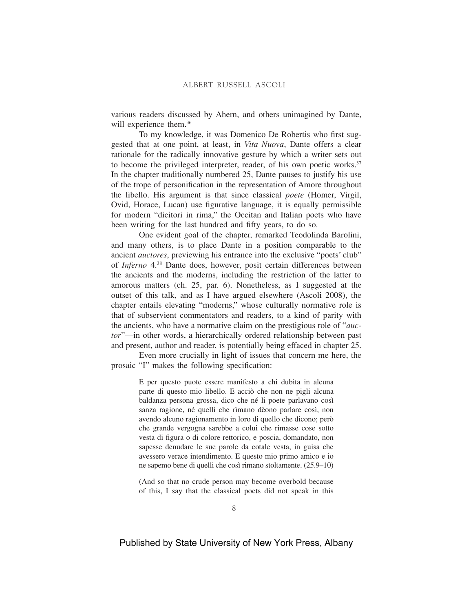various readers discussed by Ahern, and others unimagined by Dante, will experience them.<sup>36</sup>

To my knowledge, it was Domenico De Robertis who first suggested that at one point, at least, in *Vita Nuova*, Dante offers a clear rationale for the radically innovative gesture by which a writer sets out to become the privileged interpreter, reader, of his own poetic works.<sup>37</sup> In the chapter traditionally numbered 25, Dante pauses to justify his use of the trope of personification in the representation of Amore throughout the libello. His argument is that since classical *poete* (Homer, Virgil, Ovid, Horace, Lucan) use figurative language, it is equally permissible for modern "dicitori in rima," the Occitan and Italian poets who have been writing for the last hundred and fifty years, to do so.

One evident goal of the chapter, remarked Teodolinda Barolini, and many others, is to place Dante in a position comparable to the ancient *auctores*, previewing his entrance into the exclusive "poets' club" of *Inferno* 4.38 Dante does, however, posit certain differences between the ancients and the moderns, including the restriction of the latter to amorous matters (ch. 25, par. 6). Nonetheless, as I suggested at the outset of this talk, and as I have argued elsewhere (Ascoli 2008), the chapter entails elevating "moderns," whose culturally normative role is that of subservient commentators and readers, to a kind of parity with the ancients, who have a normative claim on the prestigious role of "*auctor*"—in other words, a hierarchically ordered relationship between past and present, author and reader, is potentially being effaced in chapter 25.

Even more crucially in light of issues that concern me here, the prosaic "I" makes the following specification:

> E per questo puote essere manifesto a chi dubita in alcuna parte di questo mio libello. E acciò che non ne pigli alcuna baldanza persona grossa, dico che né li poete parlavano così sanza ragione, né quelli che rìmano dèono parlare così, non avendo alcuno ragionamento in loro di quello che dicono; però che grande vergogna sarebbe a colui che rimasse cose sotto vesta di figura o di colore rettorico, e poscia, domandato, non sapesse denudare le sue parole da cotale vesta, in guisa che avessero verace intendimento. E questo mio primo amico e io ne sapemo bene di quelli che così rimano stoltamente. (25.9–10)

> (And so that no crude person may become overbold because of this, I say that the classical poets did not speak in this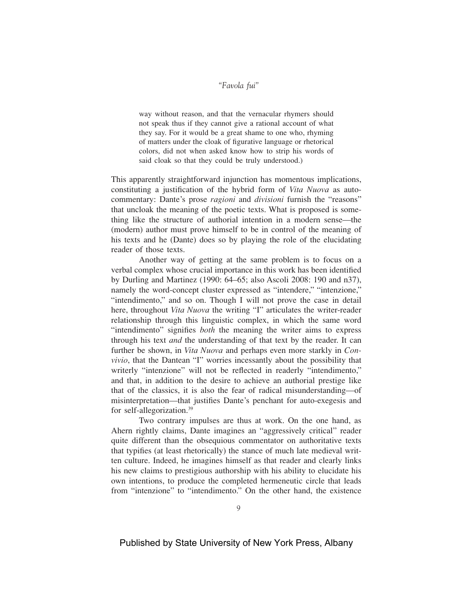way without reason, and that the vernacular rhymers should not speak thus if they cannot give a rational account of what they say. For it would be a great shame to one who, rhyming of matters under the cloak of figurative language or rhetorical colors, did not when asked know how to strip his words of said cloak so that they could be truly understood.)

This apparently straightforward injunction has momentous implications, constituting a justification of the hybrid form of *Vita Nuova* as autocommentary: Dante's prose *ragioni* and *divisioni* furnish the "reasons" that uncloak the meaning of the poetic texts. What is proposed is something like the structure of authorial intention in a modern sense—the (modern) author must prove himself to be in control of the meaning of his texts and he (Dante) does so by playing the role of the elucidating reader of those texts.

Another way of getting at the same problem is to focus on a verbal complex whose crucial importance in this work has been identified by Durling and Martinez (1990: 64–65; also Ascoli 2008: 190 and n37), namely the word-concept cluster expressed as "intendere," "intenzione," "intendimento," and so on. Though I will not prove the case in detail here, throughout *Vita Nuova* the writing "I" articulates the writer-reader relationship through this linguistic complex, in which the same word "intendimento" signifies *both* the meaning the writer aims to express through his text *and* the understanding of that text by the reader. It can further be shown, in *Vita Nuova* and perhaps even more starkly in *Convivio*, that the Dantean "I" worries incessantly about the possibility that writerly "intenzione" will not be reflected in readerly "intendimento," and that, in addition to the desire to achieve an authorial prestige like that of the classics, it is also the fear of radical misunderstanding—of misinterpretation—that justifies Dante's penchant for auto-exegesis and for self-allegorization.<sup>39</sup>

Two contrary impulses are thus at work. On the one hand, as Ahern rightly claims, Dante imagines an "aggressively critical" reader quite different than the obsequious commentator on authoritative texts that typifies (at least rhetorically) the stance of much late medieval written culture. Indeed, he imagines himself as that reader and clearly links his new claims to prestigious authorship with his ability to elucidate his own intentions, to produce the completed hermeneutic circle that leads from "intenzione" to "intendimento." On the other hand, the existence

 $\overline{Q}$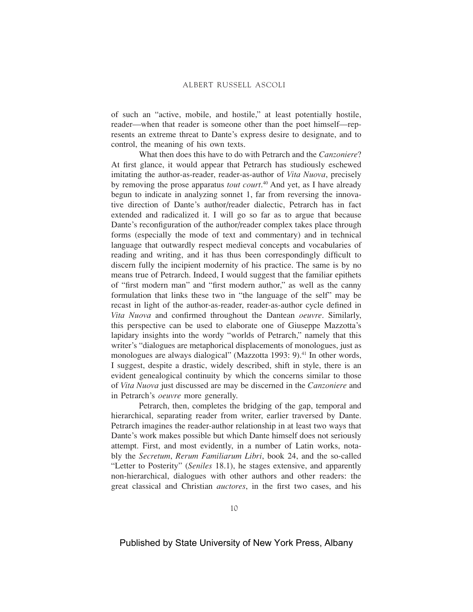of such an "active, mobile, and hostile," at least potentially hostile, reader—when that reader is someone other than the poet himself—represents an extreme threat to Dante's express desire to designate, and to control, the meaning of his own texts.

What then does this have to do with Petrarch and the *Canzoniere*? At first glance, it would appear that Petrarch has studiously eschewed imitating the author-as-reader, reader-as-author of *Vita Nuova*, precisely by removing the prose apparatus *tout court*. 40 And yet, as I have already begun to indicate in analyzing sonnet 1, far from reversing the innovative direction of Dante's author/reader dialectic, Petrarch has in fact extended and radicalized it. I will go so far as to argue that because Dante's reconfiguration of the author/reader complex takes place through forms (especially the mode of text and commentary) and in technical language that outwardly respect medieval concepts and vocabularies of reading and writing, and it has thus been correspondingly difficult to discern fully the incipient modernity of his practice. The same is by no means true of Petrarch. Indeed, I would suggest that the familiar epithets of "first modern man" and "first modern author," as well as the canny formulation that links these two in "the language of the self" may be recast in light of the author-as-reader, reader-as-author cycle defined in *Vita Nuova* and confirmed throughout the Dantean *oeuvre*. Similarly, this perspective can be used to elaborate one of Giuseppe Mazzotta's lapidary insights into the wordy "worlds of Petrarch," namely that this writer's "dialogues are metaphorical displacements of monologues, just as monologues are always dialogical" (Mazzotta 1993: 9).<sup>41</sup> In other words, I suggest, despite a drastic, widely described, shift in style, there is an evident genealogical continuity by which the concerns similar to those of *Vita Nuova* just discussed are may be discerned in the *Canzoniere* and in Petrarch's *oeuvre* more generally.

Petrarch, then, completes the bridging of the gap, temporal and hierarchical, separating reader from writer, earlier traversed by Dante. Petrarch imagines the reader-author relationship in at least two ways that Dante's work makes possible but which Dante himself does not seriously attempt. First, and most evidently, in a number of Latin works, notably the *Secretum*, *Rerum Familiarum Libri*, book 24, and the so-called "Letter to Posterity" (*Seniles* 18.1), he stages extensive, and apparently non-hierarchical, dialogues with other authors and other readers: the great classical and Christian *auctores*, in the first two cases, and his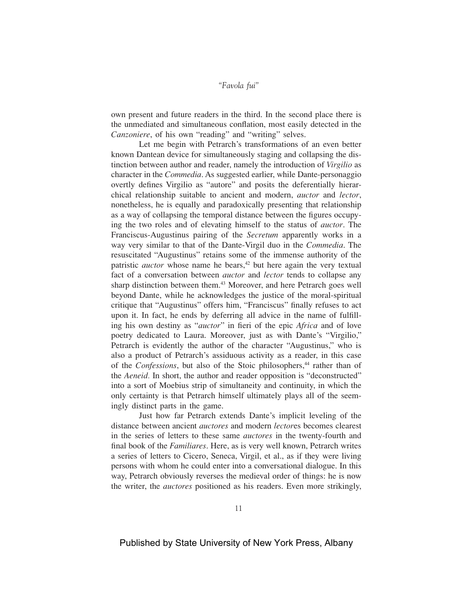own present and future readers in the third. In the second place there is the unmediated and simultaneous conflation, most easily detected in the *Canzoniere*, of his own "reading" and "writing" selves.

Let me begin with Petrarch's transformations of an even better known Dantean device for simultaneously staging and collapsing the distinction between author and reader, namely the introduction of *Virgilio* as character in the *Commedia*. As suggested earlier, while Dante-personaggio overtly defines Virgilio as "autore" and posits the deferentially hierarchical relationship suitable to ancient and modern, *auctor* and *lector*, nonetheless, he is equally and paradoxically presenting that relationship as a way of collapsing the temporal distance between the figures occupying the two roles and of elevating himself to the status of *auctor*. The Franciscus-Augustinus pairing of the *Secretum* apparently works in a way very similar to that of the Dante-Virgil duo in the *Commedia*. The resuscitated "Augustinus" retains some of the immense authority of the patristic *auctor* whose name he bears,<sup>42</sup> but here again the very textual fact of a conversation between *auctor* and *lector* tends to collapse any sharp distinction between them.<sup>43</sup> Moreover, and here Petrarch goes well beyond Dante, while he acknowledges the justice of the moral-spiritual critique that "Augustinus" offers him, "Franciscus" finally refuses to act upon it. In fact, he ends by deferring all advice in the name of fulfilling his own destiny as "*auctor*" in fieri of the epic *Africa* and of love poetry dedicated to Laura. Moreover, just as with Dante's "Virgilio," Petrarch is evidently the author of the character "Augustinus," who is also a product of Petrarch's assiduous activity as a reader, in this case of the *Confessions*, but also of the Stoic philosophers,<sup>44</sup> rather than of the *Aeneid.* In short, the author and reader opposition is "deconstructed" into a sort of Moebius strip of simultaneity and continuity, in which the only certainty is that Petrarch himself ultimately plays all of the seemingly distinct parts in the game.

Just how far Petrarch extends Dante's implicit leveling of the distance between ancient *auctores* and modern *lector*es becomes clearest in the series of letters to these same *auctores* in the twenty-fourth and final book of the *Familiares*. Here, as is very well known, Petrarch writes a series of letters to Cicero, Seneca, Virgil, et al., as if they were living persons with whom he could enter into a conversational dialogue. In this way, Petrarch obviously reverses the medieval order of things: he is now the writer, the *auctores* positioned as his readers. Even more strikingly,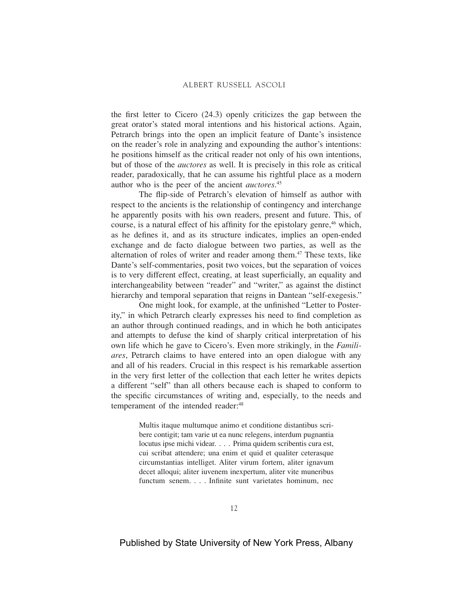the first letter to Cicero (24.3) openly criticizes the gap between the great orator's stated moral intentions and his historical actions. Again, Petrarch brings into the open an implicit feature of Dante's insistence on the reader's role in analyzing and expounding the author's intentions: he positions himself as the critical reader not only of his own intentions, but of those of the *auctores* as well. It is precisely in this role as critical reader, paradoxically, that he can assume his rightful place as a modern author who is the peer of the ancient *auctores*. 45

The flip-side of Petrarch's elevation of himself as author with respect to the ancients is the relationship of contingency and interchange he apparently posits with his own readers, present and future. This, of course, is a natural effect of his affinity for the epistolary genre,<sup>46</sup> which, as he defines it, and as its structure indicates, implies an open-ended exchange and de facto dialogue between two parties, as well as the alternation of roles of writer and reader among them.<sup>47</sup> These texts, like Dante's self-commentaries, posit two voices, but the separation of voices is to very different effect, creating, at least superficially, an equality and interchangeability between "reader" and "writer," as against the distinct hierarchy and temporal separation that reigns in Dantean "self-exegesis."

One might look, for example, at the unfinished "Letter to Posterity," in which Petrarch clearly expresses his need to find completion as an author through continued readings, and in which he both anticipates and attempts to defuse the kind of sharply critical interpretation of his own life which he gave to Cicero's. Even more strikingly, in the *Familiares*, Petrarch claims to have entered into an open dialogue with any and all of his readers. Crucial in this respect is his remarkable assertion in the very first letter of the collection that each letter he writes depicts a different "self" than all others because each is shaped to conform to the specific circumstances of writing and, especially, to the needs and temperament of the intended reader:<sup>48</sup>

> Multis itaque multumque animo et conditione distantibus scribere contigit; tam varie ut ea nunc relegens, interdum pugnantia locutus ipse michi videar. . . . Prima quidem scribentis cura est, cui scribat attendere; una enim et quid et qualiter ceterasque circumstantias intelliget. Aliter virum fortem, aliter ignavum decet alloqui; aliter iuvenem inexpertum, aliter vite muneribus functum senem. . . . Infinite sunt varietates hominum, nec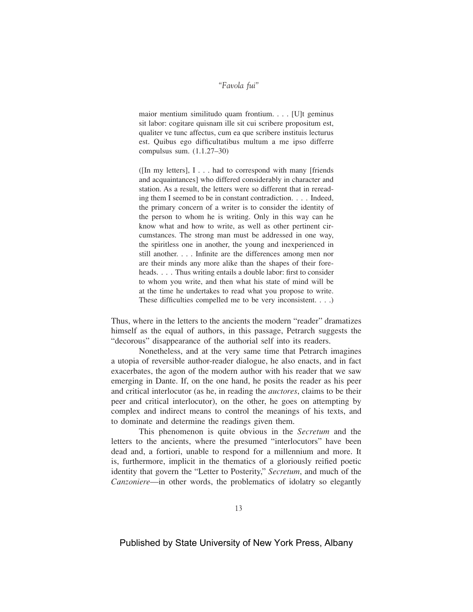maior mentium similitudo quam frontium. . . . [U]t geminus sit labor: cogitare quisnam ille sit cui scribere propositum est, qualiter ve tunc affectus, cum ea que scribere instituis lecturus est. Quibus ego difficultatibus multum a me ipso differre compulsus sum. (1.1.27–30)

( $\text{[In my letters]}, I \dots \text{ had to correspond with many (friends)}$ ) and acquaintances] who differed considerably in character and station. As a result, the letters were so different that in rereading them I seemed to be in constant contradiction. . . . Indeed, the primary concern of a writer is to consider the identity of the person to whom he is writing. Only in this way can he know what and how to write, as well as other pertinent circumstances. The strong man must be addressed in one way, the spiritless one in another, the young and inexperienced in still another.... Infinite are the differences among men nor are their minds any more alike than the shapes of their foreheads. . . . Thus writing entails a double labor: first to consider to whom you write, and then what his state of mind will be at the time he undertakes to read what you propose to write. These difficulties compelled me to be very inconsistent. . . .)

Thus, where in the letters to the ancients the modern "reader" dramatizes himself as the equal of authors, in this passage, Petrarch suggests the "decorous" disappearance of the authorial self into its readers.

Nonetheless, and at the very same time that Petrarch imagines a utopia of reversible author-reader dialogue, he also enacts, and in fact exacerbates, the agon of the modern author with his reader that we saw emerging in Dante. If, on the one hand, he posits the reader as his peer and critical interlocutor (as he, in reading the *auctores*, claims to be their peer and critical interlocutor), on the other, he goes on attempting by complex and indirect means to control the meanings of his texts, and to dominate and determine the readings given them.

This phenomenon is quite obvious in the *Secretum* and the letters to the ancients, where the presumed "interlocutors" have been dead and, a fortiori, unable to respond for a millennium and more. It is, furthermore, implicit in the thematics of a gloriously reified poetic identity that govern the "Letter to Posterity," *Secretum*, and much of the *Canzoniere*—in other words, the problematics of idolatry so elegantly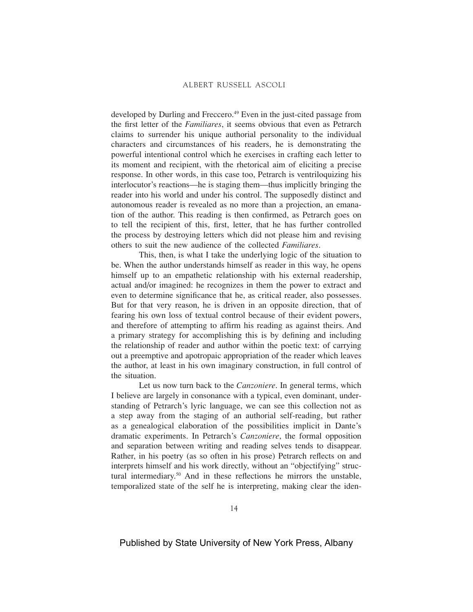developed by Durling and Freccero.<sup>49</sup> Even in the just-cited passage from the first letter of the *Familiares*, it seems obvious that even as Petrarch claims to surrender his unique authorial personality to the individual characters and circumstances of his readers, he is demonstrating the powerful intentional control which he exercises in crafting each letter to its moment and recipient, with the rhetorical aim of eliciting a precise response. In other words, in this case too, Petrarch is ventriloquizing his interlocutor's reactions—he is staging them—thus implicitly bringing the reader into his world and under his control. The supposedly distinct and autonomous reader is revealed as no more than a projection, an emanation of the author. This reading is then confirmed, as Petrarch goes on to tell the recipient of this, first, letter, that he has further controlled the process by destroying letters which did not please him and revising others to suit the new audience of the collected *Familiares*.

This, then, is what I take the underlying logic of the situation to be. When the author understands himself as reader in this way, he opens himself up to an empathetic relationship with his external readership, actual and/or imagined: he recognizes in them the power to extract and even to determine significance that he, as critical reader, also possesses. But for that very reason, he is driven in an opposite direction, that of fearing his own loss of textual control because of their evident powers, and therefore of attempting to affirm his reading as against theirs. And a primary strategy for accomplishing this is by defining and including the relationship of reader and author within the poetic text: of carrying out a preemptive and apotropaic appropriation of the reader which leaves the author, at least in his own imaginary construction, in full control of the situation.

Let us now turn back to the *Canzoniere*. In general terms, which I believe are largely in consonance with a typical, even dominant, understanding of Petrarch's lyric language, we can see this collection not as a step away from the staging of an authorial self-reading, but rather as a genealogical elaboration of the possibilities implicit in Dante's dramatic experiments. In Petrarch's *Canzoniere*, the formal opposition and separation between writing and reading selves tends to disappear. Rather, in his poetry (as so often in his prose) Petrarch reflects on and interprets himself and his work directly, without an "objectifying" structural intermediary.<sup>50</sup> And in these reflections he mirrors the unstable, temporalized state of the self he is interpreting, making clear the iden-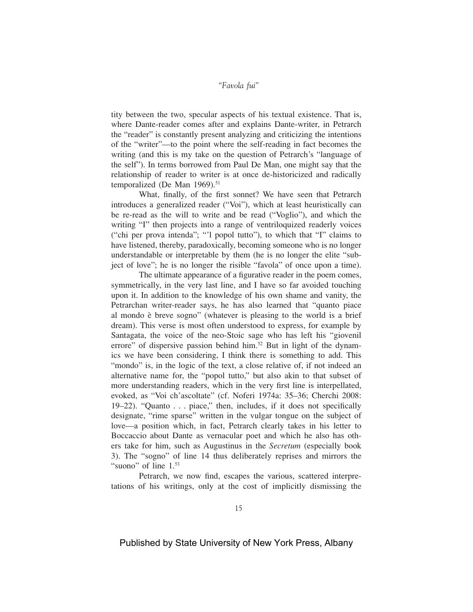tity between the two, specular aspects of his textual existence. That is, where Dante-reader comes after and explains Dante-writer, in Petrarch the "reader" is constantly present analyzing and criticizing the intentions of the "writer"—to the point where the self-reading in fact becomes the writing (and this is my take on the question of Petrarch's "language of the self"). In terms borrowed from Paul De Man, one might say that the relationship of reader to writer is at once de-historicized and radically temporalized (De Man  $1969$ ).<sup>51</sup>

What, finally, of the first sonnet? We have seen that Petrarch introduces a generalized reader ("Voi"), which at least heuristically can be re-read as the will to write and be read ("Voglio"), and which the writing "I" then projects into a range of ventriloquized readerly voices ("chi per prova intenda"; "'l popol tutto"), to which that "I" claims to have listened, thereby, paradoxically, becoming someone who is no longer understandable or interpretable by them (he is no longer the elite "subject of love"; he is no longer the risible "favola" of once upon a time).

The ultimate appearance of a figurative reader in the poem comes, symmetrically, in the very last line, and I have so far avoided touching upon it. In addition to the knowledge of his own shame and vanity, the Petrarchan writer-reader says, he has also learned that "quanto piace al mondo è breve sogno" (whatever is pleasing to the world is a brief dream). This verse is most often understood to express, for example by Santagata, the voice of the neo-Stoic sage who has left his "giovenil errore" of dispersive passion behind him.<sup>52</sup> But in light of the dynamics we have been considering, I think there is something to add. This "mondo" is, in the logic of the text, a close relative of, if not indeed an alternative name for, the "popol tutto," but also akin to that subset of more understanding readers, which in the very first line is interpellated, evoked, as "Voi ch'ascoltate" (cf. Noferi 1974a: 35–36; Cherchi 2008: 19–22). "Quanto... piace," then, includes, if it does not specifically designate, "rime sparse" written in the vulgar tongue on the subject of love—a position which, in fact, Petrarch clearly takes in his letter to Boccaccio about Dante as vernacular poet and which he also has others take for him, such as Augustinus in the *Secretum* (especially book 3). The "sogno" of line 14 thus deliberately reprises and mirrors the "suono" of line 1.<sup>53</sup>

Petrarch, we now find, escapes the various, scattered interpretations of his writings, only at the cost of implicitly dismissing the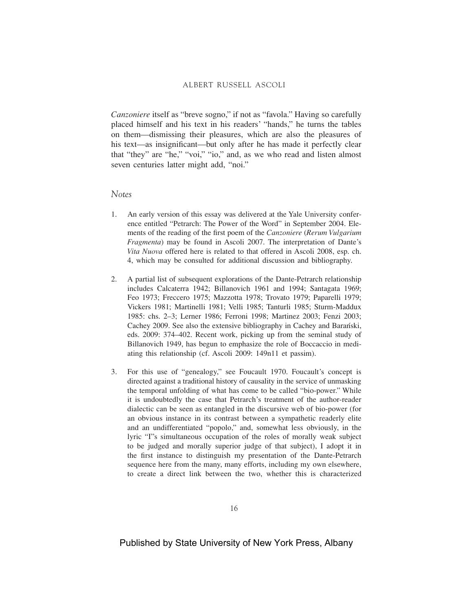*Canzoniere* itself as "breve sogno," if not as "favola." Having so carefully placed himself and his text in his readers' "hands," he turns the tables on them—dismissing their pleasures, which are also the pleasures of his text—as insignificant—but only after he has made it perfectly clear that "they" are "he," "voi," "io," and, as we who read and listen almost seven centuries latter might add, "noi."

### *Notes*

- 1. An early version of this essay was delivered at the Yale University conference entitled "Petrarch: The Power of the Word" in September 2004. Elements of the reading of the first poem of the *Canzoniere* (*Rerum Vulgarium Fragmenta*) may be found in Ascoli 2007. The interpretation of Dante's *Vita Nuova* offered here is related to that offered in Ascoli 2008, esp. ch. 4, which may be consulted for additional discussion and bibliography.
- 2. A partial list of subsequent explorations of the Dante-Petrarch relationship includes Calcaterra 1942; Billanovich 1961 and 1994; Santagata 1969; Feo 1973; Freccero 1975; Mazzotta 1978; Trovato 1979; Paparelli 1979; Vickers 1981; Martinelli 1981; Velli 1985; Tanturli 1985; Sturm-Maddux 1985: chs. 2–3; Lerner 1986; Ferroni 1998; Martinez 2003; Fenzi 2003; Cachey 2009. See also the extensive bibliography in Cachey and Baran´ski, eds. 2009: 374–402. Recent work, picking up from the seminal study of Billanovich 1949, has begun to emphasize the role of Boccaccio in mediating this relationship (cf. Ascoli 2009: 149n11 et passim).
- 3. For this use of "genealogy," see Foucault 1970. Foucault's concept is directed against a traditional history of causality in the service of unmasking the temporal unfolding of what has come to be called "bio-power." While it is undoubtedly the case that Petrarch's treatment of the author-reader dialectic can be seen as entangled in the discursive web of bio-power (for an obvious instance in its contrast between a sympathetic readerly elite and an undifferentiated "popolo," and, somewhat less obviously, in the lyric "I"s simultaneous occupation of the roles of morally weak subject to be judged and morally superior judge of that subject), I adopt it in the first instance to distinguish my presentation of the Dante-Petrarch sequence here from the many, many efforts, including my own elsewhere, to create a direct link between the two, whether this is characterized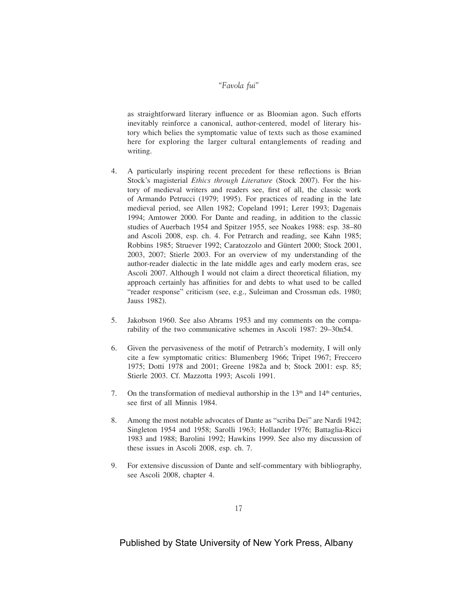as straightforward literary influence or as Bloomian agon. Such efforts inevitably reinforce a canonical, author-centered, model of literary history which belies the symptomatic value of texts such as those examined here for exploring the larger cultural entanglements of reading and writing.

- 4. A particularly inspiring recent precedent for these reflections is Brian Stock's magisterial *Ethics through Literature* (Stock 2007). For the history of medieval writers and readers see, first of all, the classic work of Armando Petrucci (1979; 1995). For practices of reading in the late medieval period, see Allen 1982; Copeland 1991; Lerer 1993; Dagenais 1994; Amtower 2000. For Dante and reading, in addition to the classic studies of Auerbach 1954 and Spitzer 1955, see Noakes 1988: esp. 38–80 and Ascoli 2008, esp. ch. 4. For Petrarch and reading, see Kahn 1985; Robbins 1985; Struever 1992; Caratozzolo and Güntert 2000; Stock 2001, 2003, 2007; Stierle 2003. For an overview of my understanding of the author-reader dialectic in the late middle ages and early modern eras, see Ascoli 2007. Although I would not claim a direct theoretical filiation, my approach certainly has affinities for and debts to what used to be called "reader response" criticism (see, e.g., Suleiman and Crossman eds. 1980; Jauss 1982).
- 5. Jakobson 1960. See also Abrams 1953 and my comments on the comparability of the two communicative schemes in Ascoli 1987: 29–30n54.
- 6. Given the pervasiveness of the motif of Petrarch's modernity, I will only cite a few symptomatic critics: Blumenberg 1966; Tripet 1967; Freccero 1975; Dotti 1978 and 2001; Greene 1982a and b; Stock 2001: esp. 85; Stierle 2003. Cf. Mazzotta 1993; Ascoli 1991.
- 7. On the transformation of medieval authorship in the  $13<sup>th</sup>$  and  $14<sup>th</sup>$  centuries, see first of all Minnis 1984.
- 8. Among the most notable advocates of Dante as "scriba Dei" are Nardi 1942; Singleton 1954 and 1958; Sarolli 1963; Hollander 1976; Battaglia-Ricci 1983 and 1988; Barolini 1992; Hawkins 1999. See also my discussion of these issues in Ascoli 2008, esp. ch. 7.
- 9. For extensive discussion of Dante and self-commentary with bibliography, see Ascoli 2008, chapter 4.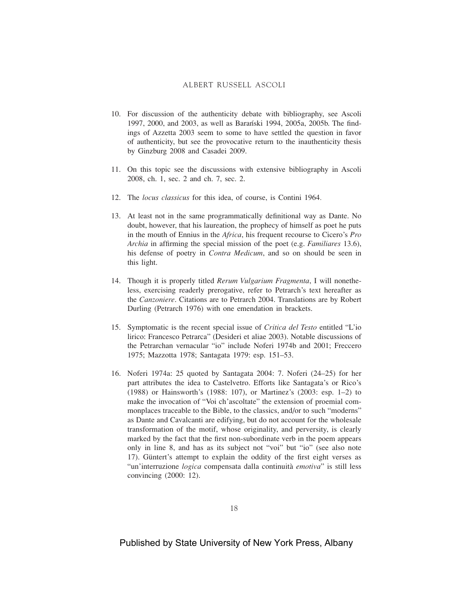#### ALBERT RUSSELL ASCOLI

- 10. For discussion of the authenticity debate with bibliography, see Ascoli 1997, 2000, and 2003, as well as Baran´ski 1994, 2005a, 2005b. The findings of Azzetta 2003 seem to some to have settled the question in favor of authenticity, but see the provocative return to the inauthenticity thesis by Ginzburg 2008 and Casadei 2009.
- 11. On this topic see the discussions with extensive bibliography in Ascoli 2008, ch. 1, sec. 2 and ch. 7, sec. 2.
- 12. The *locus classicus* for this idea, of course, is Contini 1964*.*
- 13. At least not in the same programmatically definitional way as Dante. No doubt, however, that his laureation, the prophecy of himself as poet he puts in the mouth of Ennius in the *Africa*, his frequent recourse to Cicero's *Pro Archia* in affirming the special mission of the poet (e.g. *Familiares* 13.6), his defense of poetry in *Contra Medicum*, and so on should be seen in this light.
- 14. Though it is properly titled *Rerum Vulgarium Fragmenta*, I will nonetheless, exercising readerly prerogative, refer to Petrarch's text hereafter as the *Canzoniere*. Citations are to Petrarch 2004. Translations are by Robert Durling (Petrarch 1976) with one emendation in brackets.
- 15. Symptomatic is the recent special issue of *Critica del Testo* entitled "L'io lirico: Francesco Petrarca" (Desideri et aliae 2003). Notable discussions of the Petrarchan vernacular "io" include Noferi 1974b and 2001; Freccero 1975; Mazzotta 1978; Santagata 1979: esp. 151–53.
- 16. Noferi 1974a: 25 quoted by Santagata 2004: 7. Noferi (24–25) for her part attributes the idea to Castelvetro. Efforts like Santagata's or Rico's (1988) or Hainsworth's (1988: 107), or Martinez's (2003: esp. 1–2) to make the invocation of "Voi ch'ascoltate" the extension of proemial commonplaces traceable to the Bible, to the classics, and/or to such "moderns" as Dante and Cavalcanti are edifying, but do not account for the wholesale transformation of the motif, whose originality, and perversity, is clearly marked by the fact that the first non-subordinate verb in the poem appears only in line 8, and has as its subject not "voi" but "io" (see also note 17). Güntert's attempt to explain the oddity of the first eight verses as "un'interruzione *logica* compensata dalla continuità *emotiva*" is still less convincing (2000: 12).